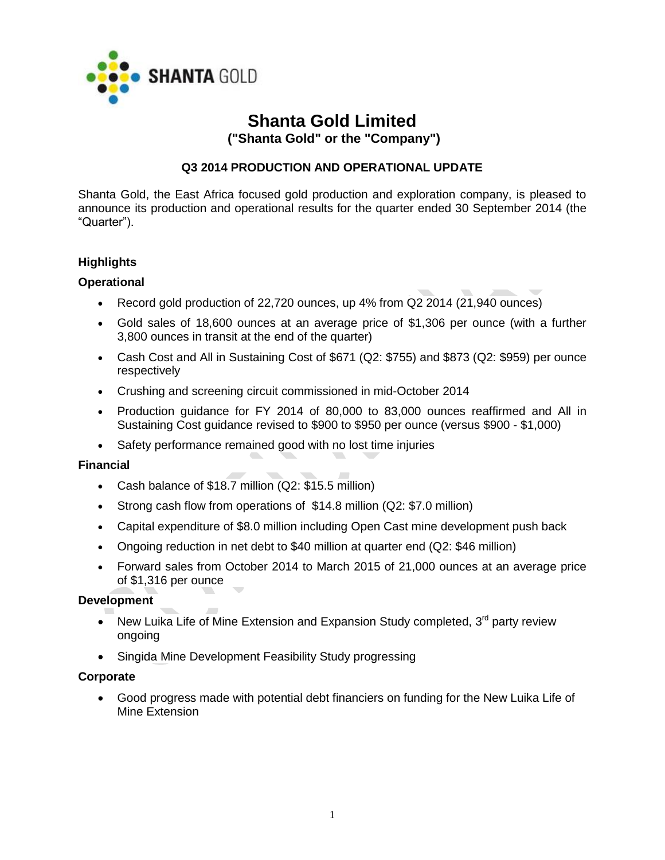

# **Shanta Gold Limited**

**("Shanta Gold" or the "Company")**

## **Q3 2014 PRODUCTION AND OPERATIONAL UPDATE**

Shanta Gold, the East Africa focused gold production and exploration company, is pleased to announce its production and operational results for the quarter ended 30 September 2014 (the "Quarter").

## **Highlights**

## **Operational**

- Record gold production of 22,720 ounces, up 4% from Q2 2014 (21,940 ounces)
- Gold sales of 18,600 ounces at an average price of \$1,306 per ounce (with a further 3,800 ounces in transit at the end of the quarter)
- Cash Cost and All in Sustaining Cost of \$671 (Q2: \$755) and \$873 (Q2: \$959) per ounce respectively
- Crushing and screening circuit commissioned in mid-October 2014
- Production guidance for FY 2014 of 80,000 to 83,000 ounces reaffirmed and All in Sustaining Cost guidance revised to \$900 to \$950 per ounce (versus \$900 - \$1,000)
- Safety performance remained good with no lost time injuries

## **Financial**

- Cash balance of \$18.7 million (Q2: \$15.5 million)
- Strong cash flow from operations of \$14.8 million (Q2: \$7.0 million)
- Capital expenditure of \$8.0 million including Open Cast mine development push back
- Ongoing reduction in net debt to \$40 million at quarter end (Q2: \$46 million)
- Forward sales from October 2014 to March 2015 of 21,000 ounces at an average price of \$1,316 per ounce

## **Development**

- New Luika Life of Mine Extension and Expansion Study completed,  $3<sup>rd</sup>$  party review ongoing
- Singida Mine Development Feasibility Study progressing

## **Corporate**

 Good progress made with potential debt financiers on funding for the New Luika Life of Mine Extension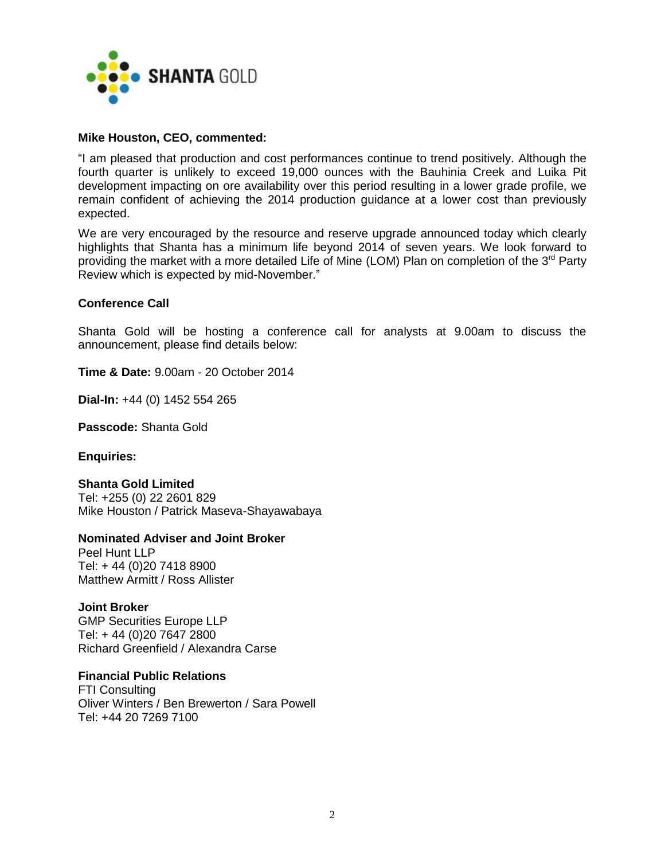

#### **Mike Houston, CEO, commented:**

"I am pleased that production and cost performances continue to trend positively. Although the fourth quarter is unlikely to exceed 19,000 ounces with the Bauhinia Creek and Luika Pit development impacting on ore availability over this period resulting in a lower grade profile, we remain confident of achieving the 2014 production guidance at a lower cost than previously expected.

We are very encouraged by the resource and reserve upgrade announced today which clearly highlights that Shanta has a minimum life beyond 2014 of seven years. We look forward to providing the market with a more detailed Life of Mine (LOM) Plan on completion of the  $3^{rd}$  Party Review which is expected by mid-November."

#### **Conference Call**

Shanta Gold will be hosting a conference call for analysts at 9.00am to discuss the announcement, please find details below:

**Time & Date:** 9.00am - 20 October 2014

**Dial-In:** +44 (0) 1452 554 265

**Passcode:** Shanta Gold

#### **Enquiries:**

#### **Shanta Gold Limited**

Tel: +255 (0) 22 2601 829 Mike Houston / Patrick Maseva-Shayawabaya

## **Nominated Adviser and Joint Broker**

Peel Hunt LLP Tel: + 44 (0)20 7418 8900 Matthew Armitt / Ross Allister

## **Joint Broker**

GMP Securities Europe LLP Tel: + 44 (0)20 7647 2800 Richard Greenfield / Alexandra Carse

## **Financial Public Relations**

FTI Consulting Oliver Winters / Ben Brewerton / Sara Powell Tel: +44 20 7269 7100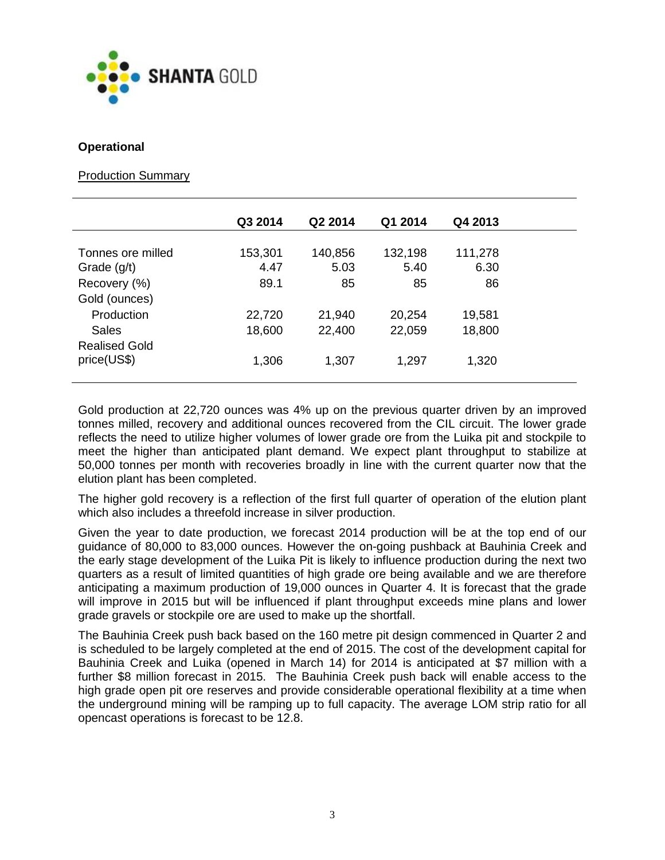

#### **Operational**

#### Production Summary

|                      | Q3 2014 | Q2 2014 | Q1 2014 | Q4 2013 |
|----------------------|---------|---------|---------|---------|
|                      |         |         |         |         |
| Tonnes ore milled    | 153,301 | 140,856 | 132,198 | 111,278 |
| Grade $(g/t)$        | 4.47    | 5.03    | 5.40    | 6.30    |
| Recovery (%)         | 89.1    | 85      | 85      | 86      |
| Gold (ounces)        |         |         |         |         |
| Production           | 22,720  | 21,940  | 20,254  | 19,581  |
| Sales                | 18,600  | 22,400  | 22,059  | 18,800  |
| <b>Realised Gold</b> |         |         |         |         |
| price(US\$)          | 1,306   | 1,307   | 1,297   | 1,320   |
|                      |         |         |         |         |

Gold production at 22,720 ounces was 4% up on the previous quarter driven by an improved tonnes milled, recovery and additional ounces recovered from the CIL circuit. The lower grade reflects the need to utilize higher volumes of lower grade ore from the Luika pit and stockpile to meet the higher than anticipated plant demand. We expect plant throughput to stabilize at 50,000 tonnes per month with recoveries broadly in line with the current quarter now that the elution plant has been completed.

The higher gold recovery is a reflection of the first full quarter of operation of the elution plant which also includes a threefold increase in silver production.

Given the year to date production, we forecast 2014 production will be at the top end of our guidance of 80,000 to 83,000 ounces. However the on-going pushback at Bauhinia Creek and the early stage development of the Luika Pit is likely to influence production during the next two quarters as a result of limited quantities of high grade ore being available and we are therefore anticipating a maximum production of 19,000 ounces in Quarter 4. It is forecast that the grade will improve in 2015 but will be influenced if plant throughput exceeds mine plans and lower grade gravels or stockpile ore are used to make up the shortfall.

The Bauhinia Creek push back based on the 160 metre pit design commenced in Quarter 2 and is scheduled to be largely completed at the end of 2015. The cost of the development capital for Bauhinia Creek and Luika (opened in March 14) for 2014 is anticipated at \$7 million with a further \$8 million forecast in 2015. The Bauhinia Creek push back will enable access to the high grade open pit ore reserves and provide considerable operational flexibility at a time when the underground mining will be ramping up to full capacity. The average LOM strip ratio for all opencast operations is forecast to be 12.8.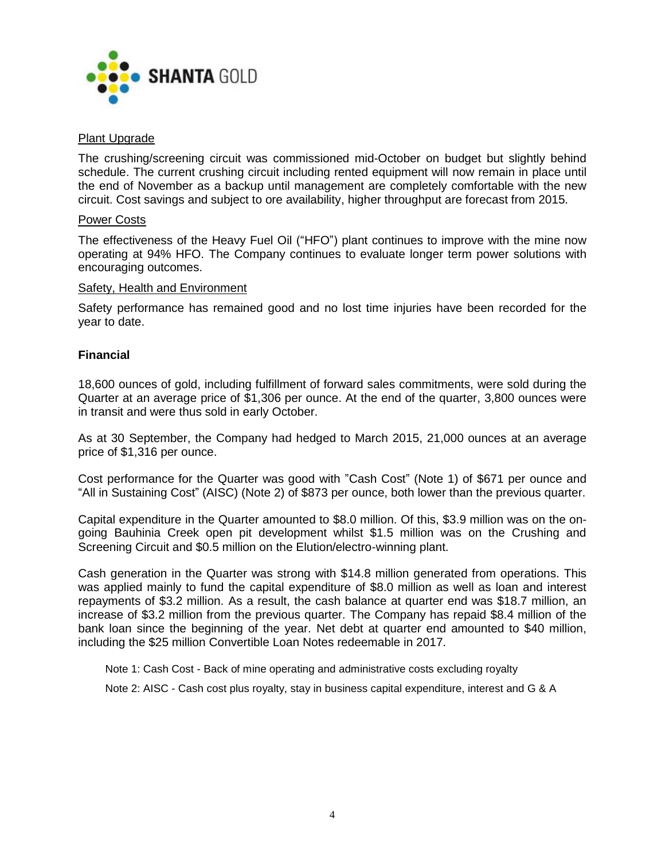

#### Plant Upgrade

The crushing/screening circuit was commissioned mid-October on budget but slightly behind schedule. The current crushing circuit including rented equipment will now remain in place until the end of November as a backup until management are completely comfortable with the new circuit. Cost savings and subject to ore availability, higher throughput are forecast from 2015.

#### Power Costs

The effectiveness of the Heavy Fuel Oil ("HFO") plant continues to improve with the mine now operating at 94% HFO. The Company continues to evaluate longer term power solutions with encouraging outcomes.

#### Safety, Health and Environment

Safety performance has remained good and no lost time injuries have been recorded for the year to date.

#### **Financial**

18,600 ounces of gold, including fulfillment of forward sales commitments, were sold during the Quarter at an average price of \$1,306 per ounce. At the end of the quarter, 3,800 ounces were in transit and were thus sold in early October.

As at 30 September, the Company had hedged to March 2015, 21,000 ounces at an average price of \$1,316 per ounce.

Cost performance for the Quarter was good with "Cash Cost" (Note 1) of \$671 per ounce and "All in Sustaining Cost" (AISC) (Note 2) of \$873 per ounce, both lower than the previous quarter.

Capital expenditure in the Quarter amounted to \$8.0 million. Of this, \$3.9 million was on the ongoing Bauhinia Creek open pit development whilst \$1.5 million was on the Crushing and Screening Circuit and \$0.5 million on the Elution/electro-winning plant.

Cash generation in the Quarter was strong with \$14.8 million generated from operations. This was applied mainly to fund the capital expenditure of \$8.0 million as well as loan and interest repayments of \$3.2 million. As a result, the cash balance at quarter end was \$18.7 million, an increase of \$3.2 million from the previous quarter. The Company has repaid \$8.4 million of the bank loan since the beginning of the year. Net debt at quarter end amounted to \$40 million, including the \$25 million Convertible Loan Notes redeemable in 2017.

Note 1: Cash Cost - Back of mine operating and administrative costs excluding royalty

Note 2: AISC - Cash cost plus royalty, stay in business capital expenditure, interest and G & A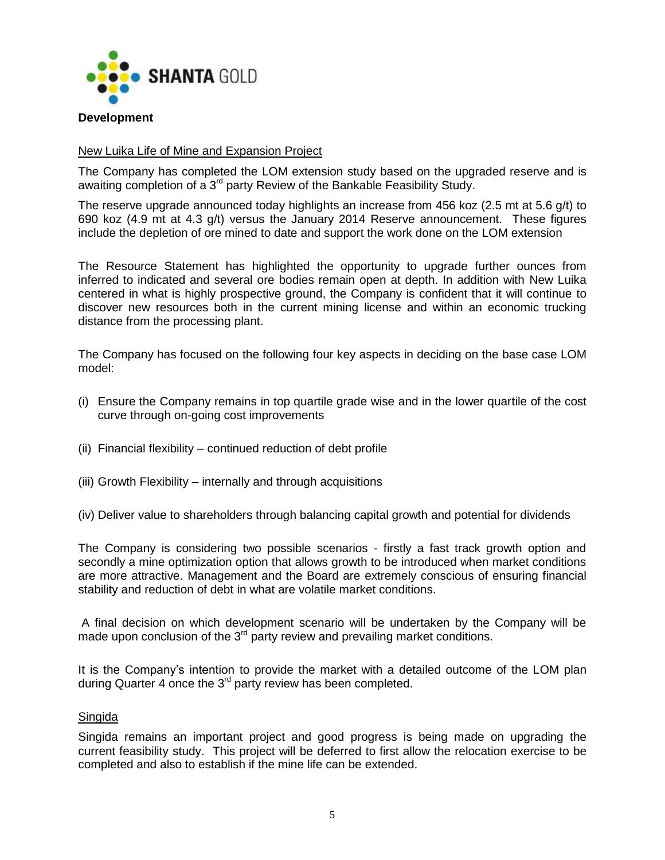

#### **Development**

#### New Luika Life of Mine and Expansion Project

The Company has completed the LOM extension study based on the upgraded reserve and is awaiting completion of a  $3<sup>rd</sup>$  party Review of the Bankable Feasibility Study.

The reserve upgrade announced today highlights an increase from 456 koz (2.5 mt at 5.6 g/t) to 690 koz (4.9 mt at 4.3 g/t) versus the January 2014 Reserve announcement. These figures include the depletion of ore mined to date and support the work done on the LOM extension

The Resource Statement has highlighted the opportunity to upgrade further ounces from inferred to indicated and several ore bodies remain open at depth. In addition with New Luika centered in what is highly prospective ground, the Company is confident that it will continue to discover new resources both in the current mining license and within an economic trucking distance from the processing plant.

The Company has focused on the following four key aspects in deciding on the base case LOM model:

- (i) Ensure the Company remains in top quartile grade wise and in the lower quartile of the cost curve through on-going cost improvements
- (ii) Financial flexibility continued reduction of debt profile
- (iii) Growth Flexibility internally and through acquisitions
- (iv) Deliver value to shareholders through balancing capital growth and potential for dividends

The Company is considering two possible scenarios - firstly a fast track growth option and secondly a mine optimization option that allows growth to be introduced when market conditions are more attractive. Management and the Board are extremely conscious of ensuring financial stability and reduction of debt in what are volatile market conditions.

A final decision on which development scenario will be undertaken by the Company will be made upon conclusion of the  $3<sup>rd</sup>$  party review and prevailing market conditions.

It is the Company's intention to provide the market with a detailed outcome of the LOM plan during Quarter 4 once the  $3<sup>rd</sup>$  party review has been completed.

#### Singida

Singida remains an important project and good progress is being made on upgrading the current feasibility study. This project will be deferred to first allow the relocation exercise to be completed and also to establish if the mine life can be extended.